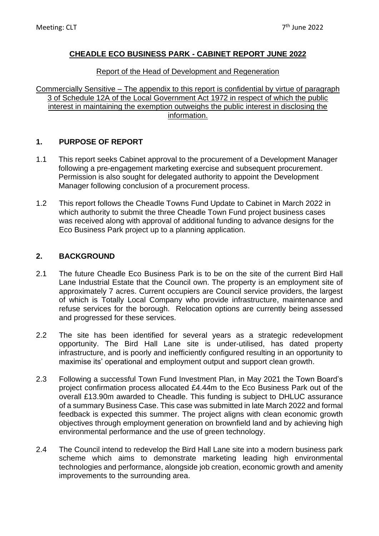### **CHEADLE ECO BUSINESS PARK - CABINET REPORT JUNE 2022**

### Report of the Head of Development and Regeneration

Commercially Sensitive – The appendix to this report is confidential by virtue of paragraph 3 of Schedule 12A of the Local Government Act 1972 in respect of which the public interest in maintaining the exemption outweighs the public interest in disclosing the information.

## **1. PURPOSE OF REPORT**

- 1.1 This report seeks Cabinet approval to the procurement of a Development Manager following a pre-engagement marketing exercise and subsequent procurement. Permission is also sought for delegated authority to appoint the Development Manager following conclusion of a procurement process.
- 1.2 This report follows the Cheadle Towns Fund Update to Cabinet in March 2022 in which authority to submit the three Cheadle Town Fund project business cases was received along with approval of additional funding to advance designs for the Eco Business Park project up to a planning application.

## **2. BACKGROUND**

- 2.1 The future Cheadle Eco Business Park is to be on the site of the current Bird Hall Lane Industrial Estate that the Council own. The property is an employment site of approximately 7 acres. Current occupiers are Council service providers, the largest of which is Totally Local Company who provide infrastructure, maintenance and refuse services for the borough. Relocation options are currently being assessed and progressed for these services.
- 2.2 The site has been identified for several years as a strategic redevelopment opportunity. The Bird Hall Lane site is under-utilised, has dated property infrastructure, and is poorly and inefficiently configured resulting in an opportunity to maximise its' operational and employment output and support clean growth.
- 2.3 Following a successful Town Fund Investment Plan, in May 2021 the Town Board's project confirmation process allocated £4.44m to the Eco Business Park out of the overall £13.90m awarded to Cheadle. This funding is subject to DHLUC assurance of a summary Business Case. This case was submitted in late March 2022 and formal feedback is expected this summer. The project aligns with clean economic growth objectives through employment generation on brownfield land and by achieving high environmental performance and the use of green technology.
- 2.4 The Council intend to redevelop the Bird Hall Lane site into a modern business park scheme which aims to demonstrate marketing leading high environmental technologies and performance, alongside job creation, economic growth and amenity improvements to the surrounding area.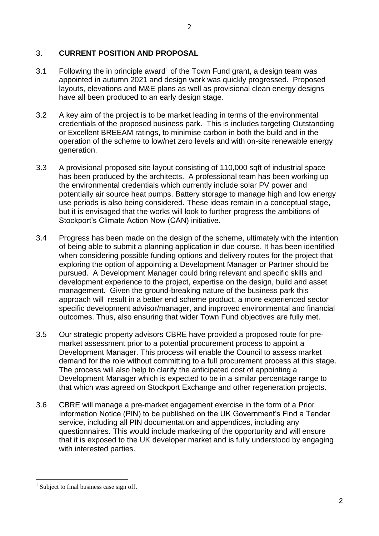### 3. **CURRENT POSITION AND PROPOSAL**

- 3.1 Following the in principle award<sup>1</sup> of the Town Fund grant, a design team was appointed in autumn 2021 and design work was quickly progressed. Proposed layouts, elevations and M&E plans as well as provisional clean energy designs have all been produced to an early design stage.
- 3.2 A key aim of the project is to be market leading in terms of the environmental credentials of the proposed business park. This is includes targeting Outstanding or Excellent BREEAM ratings, to minimise carbon in both the build and in the operation of the scheme to low/net zero levels and with on-site renewable energy generation.
- 3.3 A provisional proposed site layout consisting of 110,000 sqft of industrial space has been produced by the architects. A professional team has been working up the environmental credentials which currently include solar PV power and potentially air source heat pumps. Battery storage to manage high and low energy use periods is also being considered. These ideas remain in a conceptual stage, but it is envisaged that the works will look to further progress the ambitions of Stockport's Climate Action Now (CAN) initiative.
- 3.4 Progress has been made on the design of the scheme, ultimately with the intention of being able to submit a planning application in due course. It has been identified when considering possible funding options and delivery routes for the project that exploring the option of appointing a Development Manager or Partner should be pursued. A Development Manager could bring relevant and specific skills and development experience to the project, expertise on the design, build and asset management. Given the ground-breaking nature of the business park this approach will result in a better end scheme product, a more experienced sector specific development advisor/manager, and improved environmental and financial outcomes. Thus, also ensuring that wider Town Fund objectives are fully met.
- 3.5 Our strategic property advisors CBRE have provided a proposed route for premarket assessment prior to a potential procurement process to appoint a Development Manager. This process will enable the Council to assess market demand for the role without committing to a full procurement process at this stage. The process will also help to clarify the anticipated cost of appointing a Development Manager which is expected to be in a similar percentage range to that which was agreed on Stockport Exchange and other regeneration projects.
- 3.6 CBRE will manage a pre-market engagement exercise in the form of a Prior Information Notice (PIN) to be published on the UK Government's Find a Tender service, including all PIN documentation and appendices, including any questionnaires. This would include marketing of the opportunity and will ensure that it is exposed to the UK developer market and is fully understood by engaging with interested parties.

<sup>&</sup>lt;sup>1</sup> Subject to final business case sign off.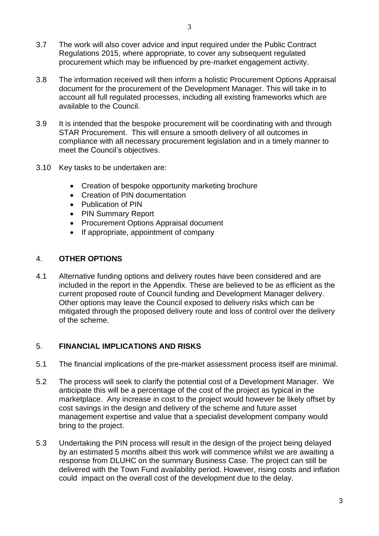- 3.7 The work will also cover advice and input required under the Public Contract Regulations 2015, where appropriate, to cover any subsequent regulated procurement which may be influenced by pre-market engagement activity.
- 3.8 The information received will then inform a holistic Procurement Options Appraisal document for the procurement of the Development Manager. This will take in to account all full regulated processes, including all existing frameworks which are available to the Council.
- 3.9 It is intended that the bespoke procurement will be coordinating with and through STAR Procurement. This will ensure a smooth delivery of all outcomes in compliance with all necessary procurement legislation and in a timely manner to meet the Council's objectives.
- 3.10 Key tasks to be undertaken are:
	- Creation of bespoke opportunity marketing brochure
	- Creation of PIN documentation
	- Publication of PIN
	- PIN Summary Report
	- Procurement Options Appraisal document
	- If appropriate, appointment of company

#### 4. **OTHER OPTIONS**

4.1 Alternative funding options and delivery routes have been considered and are included in the report in the Appendix. These are believed to be as efficient as the current proposed route of Council funding and Development Manager delivery. Other options may leave the Council exposed to delivery risks which can be mitigated through the proposed delivery route and loss of control over the delivery of the scheme.

### 5. **FINANCIAL IMPLICATIONS AND RISKS**

- 5.1 The financial implications of the pre-market assessment process itself are minimal.
- 5.2 The process will seek to clarify the potential cost of a Development Manager. We anticipate this will be a percentage of the cost of the project as typical in the marketplace. Any increase in cost to the project would however be likely offset by cost savings in the design and delivery of the scheme and future asset management expertise and value that a specialist development company would bring to the project.
- 5.3 Undertaking the PIN process will result in the design of the project being delayed by an estimated 5 months albeit this work will commence whilst we are awaiting a response from DLUHC on the summary Business Case. The project can still be delivered with the Town Fund availability period. However, rising costs and inflation could impact on the overall cost of the development due to the delay.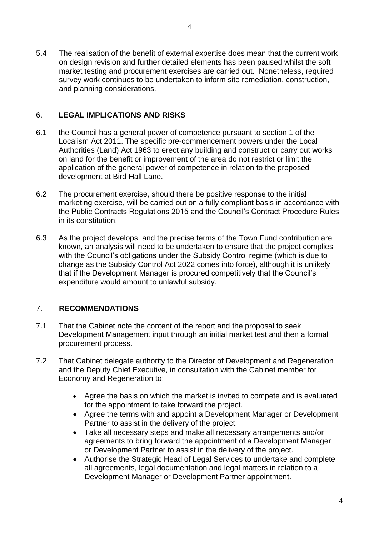5.4 The realisation of the benefit of external expertise does mean that the current work on design revision and further detailed elements has been paused whilst the soft market testing and procurement exercises are carried out. Nonetheless, required survey work continues to be undertaken to inform site remediation, construction, and planning considerations.

### 6. **LEGAL IMPLICATIONS AND RISKS**

- 6.1 the Council has a general power of competence pursuant to section 1 of the Localism Act 2011. The specific pre-commencement powers under the Local Authorities (Land) Act 1963 to erect any building and construct or carry out works on land for the benefit or improvement of the area do not restrict or limit the application of the general power of competence in relation to the proposed development at Bird Hall Lane.
- 6.2 The procurement exercise, should there be positive response to the initial marketing exercise, will be carried out on a fully compliant basis in accordance with the Public Contracts Regulations 2015 and the Council's Contract Procedure Rules in its constitution.
- 6.3 As the project develops, and the precise terms of the Town Fund contribution are known, an analysis will need to be undertaken to ensure that the project complies with the Council's obligations under the Subsidy Control regime (which is due to change as the Subsidy Control Act 2022 comes into force), although it is unlikely that if the Development Manager is procured competitively that the Council's expenditure would amount to unlawful subsidy.

# 7. **RECOMMENDATIONS**

- 7.1 That the Cabinet note the content of the report and the proposal to seek Development Management input through an initial market test and then a formal procurement process.
- 7.2 That Cabinet delegate authority to the Director of Development and Regeneration and the Deputy Chief Executive, in consultation with the Cabinet member for Economy and Regeneration to:
	- Agree the basis on which the market is invited to compete and is evaluated for the appointment to take forward the project.
	- Agree the terms with and appoint a Development Manager or Development Partner to assist in the delivery of the project.
	- Take all necessary steps and make all necessary arrangements and/or agreements to bring forward the appointment of a Development Manager or Development Partner to assist in the delivery of the project.
	- Authorise the Strategic Head of Legal Services to undertake and complete all agreements, legal documentation and legal matters in relation to a Development Manager or Development Partner appointment.